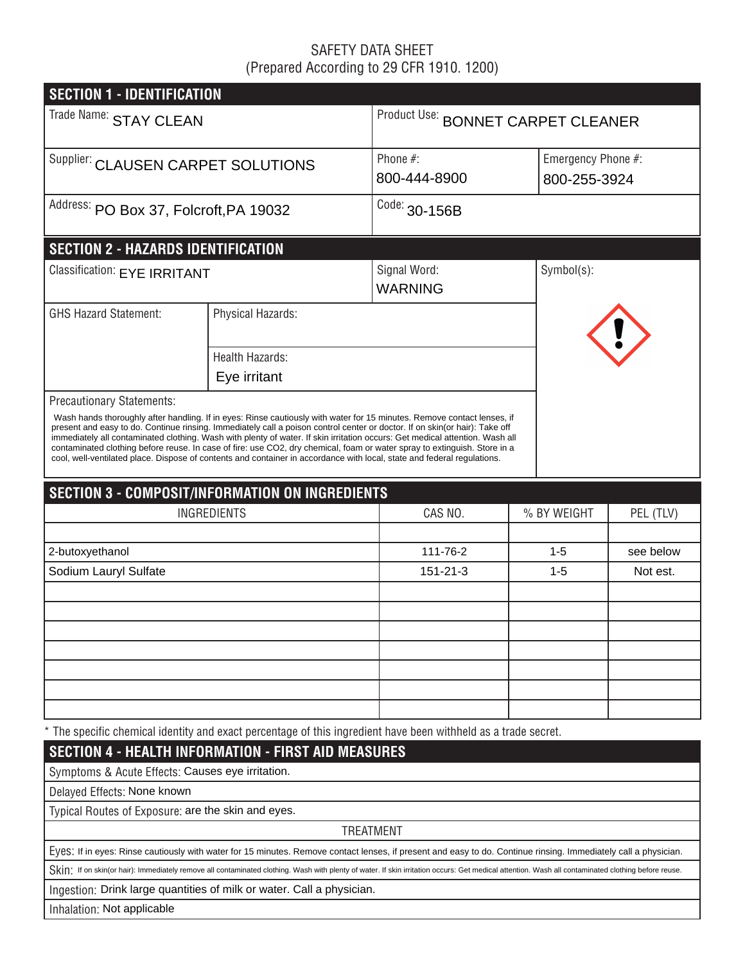# SAFETY DATA SHEET (Prepared According to 29 CFR 1910. 1200)

| <b>SECTION 1 - IDENTIFICATION</b>                                                                                                                                                                                                                                                                                                                                                                                                                                                                                                                |                        |                                    |                    |              |  |  |  |  |
|--------------------------------------------------------------------------------------------------------------------------------------------------------------------------------------------------------------------------------------------------------------------------------------------------------------------------------------------------------------------------------------------------------------------------------------------------------------------------------------------------------------------------------------------------|------------------------|------------------------------------|--------------------|--------------|--|--|--|--|
| Trade Name: STAY CLEAN                                                                                                                                                                                                                                                                                                                                                                                                                                                                                                                           |                        | Product Use: BONNET CARPET CLEANER |                    |              |  |  |  |  |
| Supplier: CLAUSEN CARPET SOLUTIONS                                                                                                                                                                                                                                                                                                                                                                                                                                                                                                               |                        | Phone #:                           | Emergency Phone #: |              |  |  |  |  |
|                                                                                                                                                                                                                                                                                                                                                                                                                                                                                                                                                  |                        | 800-444-8900                       |                    | 800-255-3924 |  |  |  |  |
| Address: PO Box 37, Folcroft, PA 19032                                                                                                                                                                                                                                                                                                                                                                                                                                                                                                           |                        | Code: 30-156B                      |                    |              |  |  |  |  |
| <b>SECTION 2 - HAZARDS IDENTIFICATION</b>                                                                                                                                                                                                                                                                                                                                                                                                                                                                                                        |                        |                                    |                    |              |  |  |  |  |
| Classification: EYE IRRITANT                                                                                                                                                                                                                                                                                                                                                                                                                                                                                                                     |                        | Signal Word:<br><b>WARNING</b>     | Symbol(s):         |              |  |  |  |  |
| <b>GHS Hazard Statement:</b>                                                                                                                                                                                                                                                                                                                                                                                                                                                                                                                     | Physical Hazards:      |                                    |                    |              |  |  |  |  |
|                                                                                                                                                                                                                                                                                                                                                                                                                                                                                                                                                  | <b>Health Hazards:</b> |                                    |                    |              |  |  |  |  |
|                                                                                                                                                                                                                                                                                                                                                                                                                                                                                                                                                  | Eye irritant           |                                    |                    |              |  |  |  |  |
| Precautionary Statements:<br>Wash hands thoroughly after handling. If in eyes: Rinse cautiously with water for 15 minutes. Remove contact lenses, if<br>present and easy to do. Continue rinsing. Immediately call a poison control center or doctor. If on skin(or hair): Take off<br>immediately all contaminated clothing. Wash with plenty of water. If skin irritation occurs: Get medical attention. Wash all<br>contaminated clothing before reuse. In case of fire: use CO2, dry chemical, foam or water spray to extinguish. Store in a |                        |                                    |                    |              |  |  |  |  |
| cool, well-ventilated place. Dispose of contents and container in accordance with local, state and federal regulations.                                                                                                                                                                                                                                                                                                                                                                                                                          |                        |                                    |                    |              |  |  |  |  |
| <b>SECTION 3 - COMPOSIT/INFORMATION ON INGREDIENTS</b>                                                                                                                                                                                                                                                                                                                                                                                                                                                                                           |                        |                                    |                    |              |  |  |  |  |
|                                                                                                                                                                                                                                                                                                                                                                                                                                                                                                                                                  | <b>INGREDIENTS</b>     | CAS NO.                            | % BY WEIGHT        | PEL (TLV)    |  |  |  |  |
|                                                                                                                                                                                                                                                                                                                                                                                                                                                                                                                                                  |                        |                                    |                    |              |  |  |  |  |
| 2-butoxyethanol                                                                                                                                                                                                                                                                                                                                                                                                                                                                                                                                  |                        | 111-76-2                           | $1 - 5$            | see below    |  |  |  |  |
| Sodium Lauryl Sulfate                                                                                                                                                                                                                                                                                                                                                                                                                                                                                                                            |                        | 151-21-3                           | $1 - 5$            | Not est.     |  |  |  |  |
|                                                                                                                                                                                                                                                                                                                                                                                                                                                                                                                                                  |                        |                                    |                    |              |  |  |  |  |
|                                                                                                                                                                                                                                                                                                                                                                                                                                                                                                                                                  |                        |                                    |                    |              |  |  |  |  |
|                                                                                                                                                                                                                                                                                                                                                                                                                                                                                                                                                  |                        |                                    |                    |              |  |  |  |  |
|                                                                                                                                                                                                                                                                                                                                                                                                                                                                                                                                                  |                        |                                    |                    |              |  |  |  |  |
|                                                                                                                                                                                                                                                                                                                                                                                                                                                                                                                                                  |                        |                                    |                    |              |  |  |  |  |
|                                                                                                                                                                                                                                                                                                                                                                                                                                                                                                                                                  |                        |                                    |                    |              |  |  |  |  |
| * The specific chemical identity and exact percentage of this ingredient have been withheld as a trade secret.                                                                                                                                                                                                                                                                                                                                                                                                                                   |                        |                                    |                    |              |  |  |  |  |
| <b>SECTION 4 - HEALTH INFORMATION - FIRST AID MEASURES</b>                                                                                                                                                                                                                                                                                                                                                                                                                                                                                       |                        |                                    |                    |              |  |  |  |  |
| Symptoms & Acute Effects: Causes eye irritation.                                                                                                                                                                                                                                                                                                                                                                                                                                                                                                 |                        |                                    |                    |              |  |  |  |  |
| Delayed Effects: None known                                                                                                                                                                                                                                                                                                                                                                                                                                                                                                                      |                        |                                    |                    |              |  |  |  |  |
| Typical Routes of Exposure: are the skin and eyes.                                                                                                                                                                                                                                                                                                                                                                                                                                                                                               |                        |                                    |                    |              |  |  |  |  |
|                                                                                                                                                                                                                                                                                                                                                                                                                                                                                                                                                  |                        | <b>TREATMENT</b>                   |                    |              |  |  |  |  |
| Eyes: If in eyes: Rinse cautiously with water for 15 minutes. Remove contact lenses, if present and easy to do. Continue rinsing. Immediately call a physician.                                                                                                                                                                                                                                                                                                                                                                                  |                        |                                    |                    |              |  |  |  |  |
| Skin: If on skin(or hair): Immediately remove all contaminated clothing. Wash with plenty of water. If skin irritation occurs: Get medical attention. Wash all contaminated clothing before reuse.                                                                                                                                                                                                                                                                                                                                               |                        |                                    |                    |              |  |  |  |  |

Ingestion: Drink large quantities of milk or water. Call a physician.

Inhalation: Not applicable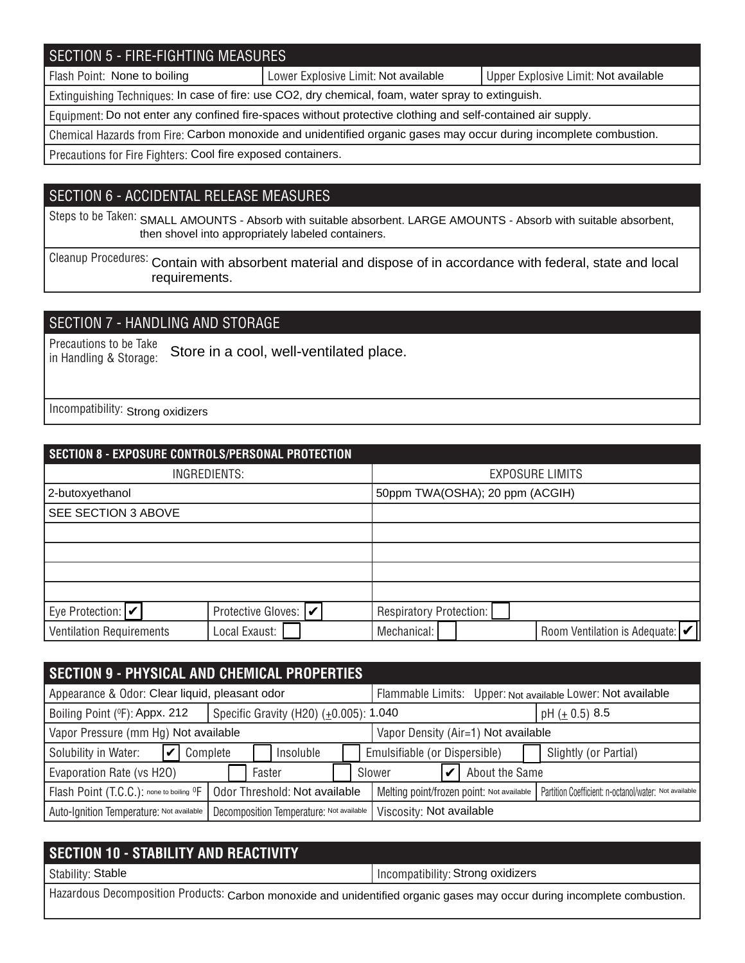# SECTION 5 - FIRE-FIGHTING MEASURES

Flash Point: None to boiling **Notable 2018** Lower Explosive Limit: Not available Not available Not available

Extinguishing Techniques: In case of fire: use CO2, dry chemical, foam, water spray to extinguish.

Equipment: Do not enter any confined fire-spaces without protective clothing and self-contained air supply.

Chemical Hazards from Fire: Carbon monoxide and unidentified organic gases may occur during incomplete combustion.

Precautions for Fire Fighters: Cool fire exposed containers.

### SECTION 6 - ACCIDENTAL RELEASE MEASURES

Steps to be Taken: SMALL AMOUNTS - Absorb with suitable absorbent. LARGE AMOUNTS - Absorb with suitable absorbent, then shovel into appropriately labeled containers.

Cleanup Procedures: Contain with absorbent material and dispose of in accordance with federal, state and local requirements.

## SECTION 7 - HANDLING AND STORAGE

Precautions to be Take in Handling & Storage: Store in a cool, well-ventilated place.

Incompatibility: Strong oxidizers

|                                 | SECTION 8 - EXPOSURE CONTROLS/PERSONAL PROTECTION |                                                              |  |  |  |  |
|---------------------------------|---------------------------------------------------|--------------------------------------------------------------|--|--|--|--|
| INGREDIENTS:                    |                                                   | <b>EXPOSURE LIMITS</b>                                       |  |  |  |  |
| 2-butoxyethanol                 |                                                   | 50ppm TWA(OSHA); 20 ppm (ACGIH)                              |  |  |  |  |
| SEE SECTION 3 ABOVE             |                                                   |                                                              |  |  |  |  |
|                                 |                                                   |                                                              |  |  |  |  |
|                                 |                                                   |                                                              |  |  |  |  |
|                                 |                                                   |                                                              |  |  |  |  |
|                                 |                                                   |                                                              |  |  |  |  |
| Eye Protection: $ v $           | Protective Gloves:  ✔                             | Respiratory Protection:                                      |  |  |  |  |
| <b>Ventilation Requirements</b> | Local Exaust:                                     | Room Ventilation is Adequate: $ \mathcal{V} $<br>Mechanical: |  |  |  |  |

| <b>SECTION 9 - PHYSICAL AND CHEMICAL PROPERTIES</b>  |                                          |                                                             |                                           |                |                                                       |  |  |
|------------------------------------------------------|------------------------------------------|-------------------------------------------------------------|-------------------------------------------|----------------|-------------------------------------------------------|--|--|
| Appearance & Odor: Clear liquid, pleasant odor       |                                          | Flammable Limits: Upper: Not available Lower: Not available |                                           |                |                                                       |  |  |
| Boiling Point (°F): Appx. 212                        | Specific Gravity (H20) (±0.005): 1.040   |                                                             | pH $(\pm 0.5)$ 8.5                        |                |                                                       |  |  |
| Vapor Pressure (mm Hg) Not available                 |                                          |                                                             | Vapor Density (Air=1) Not available       |                |                                                       |  |  |
| Solubility in Water:<br>Complete                     | Insoluble                                |                                                             | Emulsifiable (or Dispersible)             |                | Slightly (or Partial)                                 |  |  |
| Evaporation Rate (vs H2O)                            | Faster                                   |                                                             | Slower                                    | About the Same |                                                       |  |  |
| Flash Point (T.C.C.): none to boiling <sup>O</sup> F | Odor Threshold: Not available            |                                                             | Melting point/frozen point: Not available |                | Partition Coefficient: n-octanol/water: Not available |  |  |
| Auto-Ignition Temperature: Not available             | Decomposition Temperature: Not available |                                                             | Viscosity: Not available                  |                |                                                       |  |  |

| <b>SECTION 10 - STABILITY AND REACTIVITY</b>                                                                             |                                   |  |  |
|--------------------------------------------------------------------------------------------------------------------------|-----------------------------------|--|--|
| Stability: Stable                                                                                                        | Incompatibility: Strong oxidizers |  |  |
| Hazardous Decomposition Products: Carbon monoxide and unidentified organic gases may occur during incomplete combustion. |                                   |  |  |